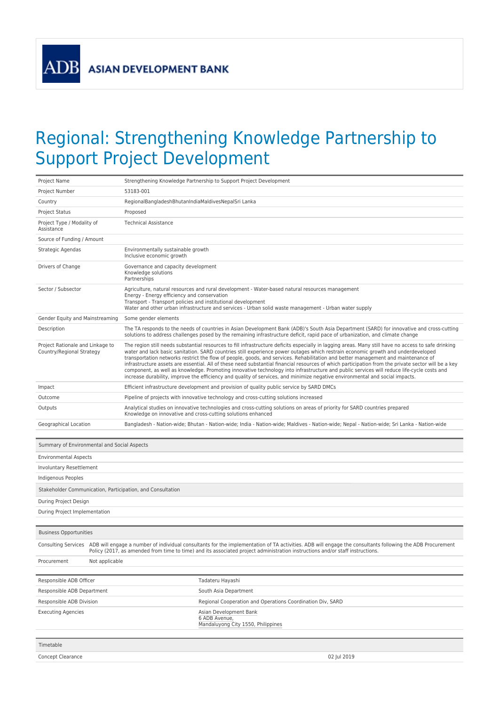**ADB** 

## Regional: Strengthening Knowledge Partnership to Support Project Development

| Project Name                                                  | Strengthening Knowledge Partnership to Support Project Development                                                                                                                                                                                                                                                                                                                                                                                                                                                                                                                                                                                                                                                                                                                                                                                                |  |  |
|---------------------------------------------------------------|-------------------------------------------------------------------------------------------------------------------------------------------------------------------------------------------------------------------------------------------------------------------------------------------------------------------------------------------------------------------------------------------------------------------------------------------------------------------------------------------------------------------------------------------------------------------------------------------------------------------------------------------------------------------------------------------------------------------------------------------------------------------------------------------------------------------------------------------------------------------|--|--|
| Project Number                                                | 53183-001                                                                                                                                                                                                                                                                                                                                                                                                                                                                                                                                                                                                                                                                                                                                                                                                                                                         |  |  |
| Country                                                       | RegionalBangladeshBhutanIndiaMaldivesNepalSri Lanka                                                                                                                                                                                                                                                                                                                                                                                                                                                                                                                                                                                                                                                                                                                                                                                                               |  |  |
| <b>Project Status</b>                                         | Proposed                                                                                                                                                                                                                                                                                                                                                                                                                                                                                                                                                                                                                                                                                                                                                                                                                                                          |  |  |
| Project Type / Modality of<br>Assistance                      | <b>Technical Assistance</b>                                                                                                                                                                                                                                                                                                                                                                                                                                                                                                                                                                                                                                                                                                                                                                                                                                       |  |  |
| Source of Funding / Amount                                    |                                                                                                                                                                                                                                                                                                                                                                                                                                                                                                                                                                                                                                                                                                                                                                                                                                                                   |  |  |
| Strategic Agendas                                             | Environmentally sustainable growth<br>Inclusive economic growth                                                                                                                                                                                                                                                                                                                                                                                                                                                                                                                                                                                                                                                                                                                                                                                                   |  |  |
| Drivers of Change                                             | Governance and capacity development<br>Knowledge solutions<br>Partnerships                                                                                                                                                                                                                                                                                                                                                                                                                                                                                                                                                                                                                                                                                                                                                                                        |  |  |
| Sector / Subsector                                            | Agriculture, natural resources and rural development - Water-based natural resources management<br>Energy - Energy efficiency and conservation<br>Transport - Transport policies and institutional development<br>Water and other urban infrastructure and services - Urban solid waste management - Urban water supply                                                                                                                                                                                                                                                                                                                                                                                                                                                                                                                                           |  |  |
| Gender Equity and Mainstreaming                               | Some gender elements                                                                                                                                                                                                                                                                                                                                                                                                                                                                                                                                                                                                                                                                                                                                                                                                                                              |  |  |
| Description                                                   | The TA responds to the needs of countries in Asian Development Bank (ADB)'s South Asia Department (SARD) for innovative and cross-cutting<br>solutions to address challenges posed by the remaining infrastructure deficit, rapid pace of urbanization, and climate change                                                                                                                                                                                                                                                                                                                                                                                                                                                                                                                                                                                        |  |  |
| Project Rationale and Linkage to<br>Country/Regional Strategy | The region still needs substantial resources to fill infrastructure deficits especially in lagging areas. Many still have no access to safe drinking<br>water and lack basic sanitation. SARD countries still experience power outages which restrain economic growth and underdeveloped<br>transportation networks restrict the flow of people, goods, and services. Rehabilitation and better management and maintenance of<br>infrastructure assets are essential. All of these need substantial financial resources of which participation from the private sector will be a key<br>component, as well as knowledge. Promoting innovative technology into infrastructure and public services will reduce life-cycle costs and<br>increase durability, improve the efficiency and quality of services, and minimize negative environmental and social impacts. |  |  |
| Impact                                                        | Efficient infrastructure development and provision of quality public service by SARD DMCs                                                                                                                                                                                                                                                                                                                                                                                                                                                                                                                                                                                                                                                                                                                                                                         |  |  |
| Outcome                                                       | Pipeline of projects with innovative technology and cross-cutting solutions increased                                                                                                                                                                                                                                                                                                                                                                                                                                                                                                                                                                                                                                                                                                                                                                             |  |  |
| Outputs                                                       | Analytical studies on innovative technologies and cross-cutting solutions on areas of priority for SARD countries prepared<br>Knowledge on innovative and cross-cutting solutions enhanced                                                                                                                                                                                                                                                                                                                                                                                                                                                                                                                                                                                                                                                                        |  |  |
| Geographical Location                                         | Bangladesh - Nation-wide; Bhutan - Nation-wide; India - Nation-wide; Maldives - Nation-wide; Nepal - Nation-wide; Sri Lanka - Nation-wide                                                                                                                                                                                                                                                                                                                                                                                                                                                                                                                                                                                                                                                                                                                         |  |  |
| Summary of Environmental and Social Aspects                   |                                                                                                                                                                                                                                                                                                                                                                                                                                                                                                                                                                                                                                                                                                                                                                                                                                                                   |  |  |
| <b>Environmental Aspects</b>                                  |                                                                                                                                                                                                                                                                                                                                                                                                                                                                                                                                                                                                                                                                                                                                                                                                                                                                   |  |  |
| Involuntary Resettlement                                      |                                                                                                                                                                                                                                                                                                                                                                                                                                                                                                                                                                                                                                                                                                                                                                                                                                                                   |  |  |
| Indigenous Peoples                                            |                                                                                                                                                                                                                                                                                                                                                                                                                                                                                                                                                                                                                                                                                                                                                                                                                                                                   |  |  |
|                                                               | Stakeholder Communication, Participation, and Consultation                                                                                                                                                                                                                                                                                                                                                                                                                                                                                                                                                                                                                                                                                                                                                                                                        |  |  |
| During Project Design                                         |                                                                                                                                                                                                                                                                                                                                                                                                                                                                                                                                                                                                                                                                                                                                                                                                                                                                   |  |  |
|                                                               |                                                                                                                                                                                                                                                                                                                                                                                                                                                                                                                                                                                                                                                                                                                                                                                                                                                                   |  |  |
| During Project Implementation                                 |                                                                                                                                                                                                                                                                                                                                                                                                                                                                                                                                                                                                                                                                                                                                                                                                                                                                   |  |  |
|                                                               |                                                                                                                                                                                                                                                                                                                                                                                                                                                                                                                                                                                                                                                                                                                                                                                                                                                                   |  |  |
| <b>Business Opportunities</b>                                 |                                                                                                                                                                                                                                                                                                                                                                                                                                                                                                                                                                                                                                                                                                                                                                                                                                                                   |  |  |
|                                                               | Consulting Services ADB will engage a number of individual consultants for the implementation of TA activities. ADB will engage the consultants following the ADB Procurement<br>Policy (2017, as amended from time to time) and its associated project administration instructions and/or staff instructions.                                                                                                                                                                                                                                                                                                                                                                                                                                                                                                                                                    |  |  |
| Not applicable<br>Procurement                                 |                                                                                                                                                                                                                                                                                                                                                                                                                                                                                                                                                                                                                                                                                                                                                                                                                                                                   |  |  |
| Responsible ADB Officer                                       | Tadateru Hayashi                                                                                                                                                                                                                                                                                                                                                                                                                                                                                                                                                                                                                                                                                                                                                                                                                                                  |  |  |
| Responsible ADB Department                                    | South Asia Department                                                                                                                                                                                                                                                                                                                                                                                                                                                                                                                                                                                                                                                                                                                                                                                                                                             |  |  |
| Responsible ADB Division                                      | Regional Cooperation and Operations Coordination Div, SARD                                                                                                                                                                                                                                                                                                                                                                                                                                                                                                                                                                                                                                                                                                                                                                                                        |  |  |
| <b>Executing Agencies</b>                                     | Asian Development Bank<br>6 ADB Avenue,<br>Mandaluyong City 1550, Philippines                                                                                                                                                                                                                                                                                                                                                                                                                                                                                                                                                                                                                                                                                                                                                                                     |  |  |
|                                                               |                                                                                                                                                                                                                                                                                                                                                                                                                                                                                                                                                                                                                                                                                                                                                                                                                                                                   |  |  |
| Timetable<br>Concept Clearance                                | 02 Jul 2019                                                                                                                                                                                                                                                                                                                                                                                                                                                                                                                                                                                                                                                                                                                                                                                                                                                       |  |  |